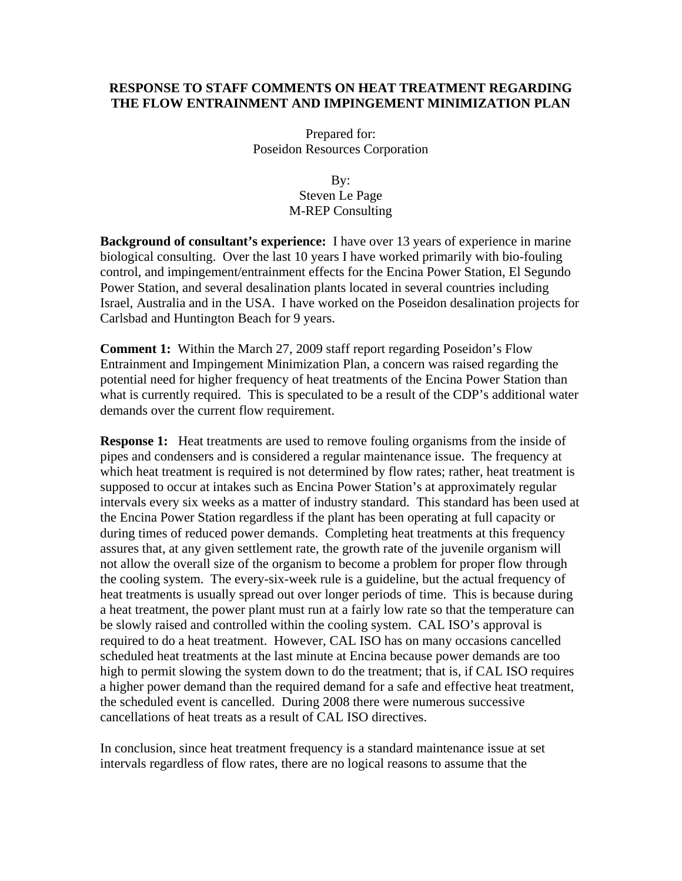#### **RESPONSE TO STAFF COMMENTS ON HEAT TREATMENT REGARDING THE FLOW ENTRAINMENT AND IMPINGEMENT MINIMIZATION PLAN**

Prepared for: Poseidon Resources Corporation

#### By: Steven Le Page M-REP Consulting

**Background of consultant's experience:** I have over 13 years of experience in marine biological consulting. Over the last 10 years I have worked primarily with bio-fouling control, and impingement/entrainment effects for the Encina Power Station, El Segundo Power Station, and several desalination plants located in several countries including Israel, Australia and in the USA. I have worked on the Poseidon desalination projects for Carlsbad and Huntington Beach for 9 years.

**Comment 1:** Within the March 27, 2009 staff report regarding Poseidon's Flow Entrainment and Impingement Minimization Plan, a concern was raised regarding the potential need for higher frequency of heat treatments of the Encina Power Station than what is currently required. This is speculated to be a result of the CDP's additional water demands over the current flow requirement.

**Response 1:** Heat treatments are used to remove fouling organisms from the inside of pipes and condensers and is considered a regular maintenance issue. The frequency at which heat treatment is required is not determined by flow rates; rather, heat treatment is supposed to occur at intakes such as Encina Power Station's at approximately regular intervals every six weeks as a matter of industry standard. This standard has been used at the Encina Power Station regardless if the plant has been operating at full capacity or during times of reduced power demands. Completing heat treatments at this frequency assures that, at any given settlement rate, the growth rate of the juvenile organism will not allow the overall size of the organism to become a problem for proper flow through the cooling system. The every-six-week rule is a guideline, but the actual frequency of heat treatments is usually spread out over longer periods of time. This is because during a heat treatment, the power plant must run at a fairly low rate so that the temperature can be slowly raised and controlled within the cooling system. CAL ISO's approval is required to do a heat treatment. However, CAL ISO has on many occasions cancelled scheduled heat treatments at the last minute at Encina because power demands are too high to permit slowing the system down to do the treatment; that is, if CAL ISO requires a higher power demand than the required demand for a safe and effective heat treatment, the scheduled event is cancelled. During 2008 there were numerous successive cancellations of heat treats as a result of CAL ISO directives.

In conclusion, since heat treatment frequency is a standard maintenance issue at set intervals regardless of flow rates, there are no logical reasons to assume that the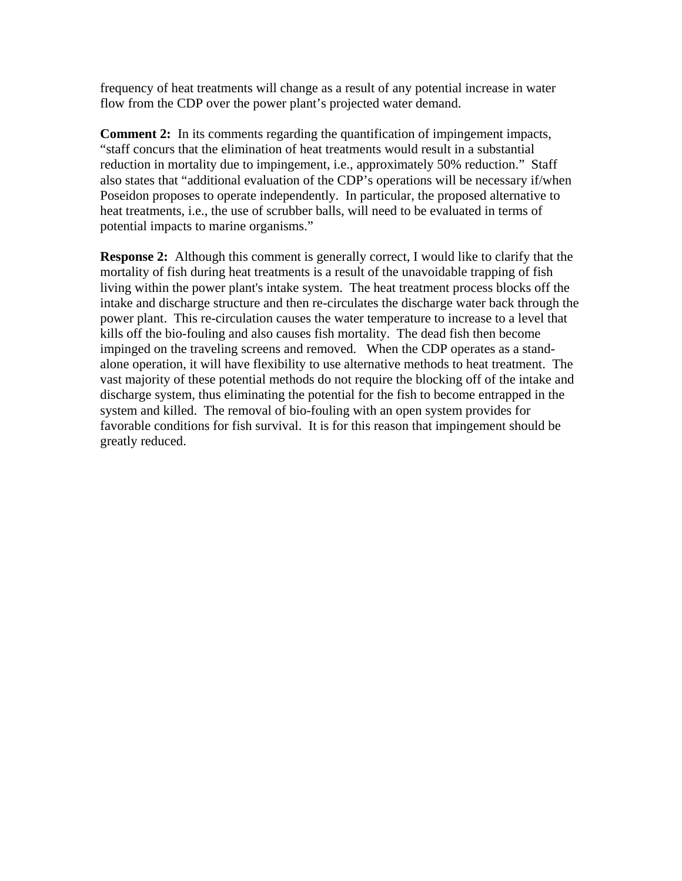frequency of heat treatments will change as a result of any potential increase in water flow from the CDP over the power plant's projected water demand.

**Comment 2:** In its comments regarding the quantification of impingement impacts, "staff concurs that the elimination of heat treatments would result in a substantial reduction in mortality due to impingement, i.e., approximately 50% reduction." Staff also states that "additional evaluation of the CDP's operations will be necessary if/when Poseidon proposes to operate independently. In particular, the proposed alternative to heat treatments, i.e., the use of scrubber balls, will need to be evaluated in terms of potential impacts to marine organisms."

**Response 2:** Although this comment is generally correct, I would like to clarify that the mortality of fish during heat treatments is a result of the unavoidable trapping of fish living within the power plant's intake system. The heat treatment process blocks off the intake and discharge structure and then re-circulates the discharge water back through the power plant. This re-circulation causes the water temperature to increase to a level that kills off the bio-fouling and also causes fish mortality. The dead fish then become impinged on the traveling screens and removed. When the CDP operates as a standalone operation, it will have flexibility to use alternative methods to heat treatment. The vast majority of these potential methods do not require the blocking off of the intake and discharge system, thus eliminating the potential for the fish to become entrapped in the system and killed. The removal of bio-fouling with an open system provides for favorable conditions for fish survival. It is for this reason that impingement should be greatly reduced.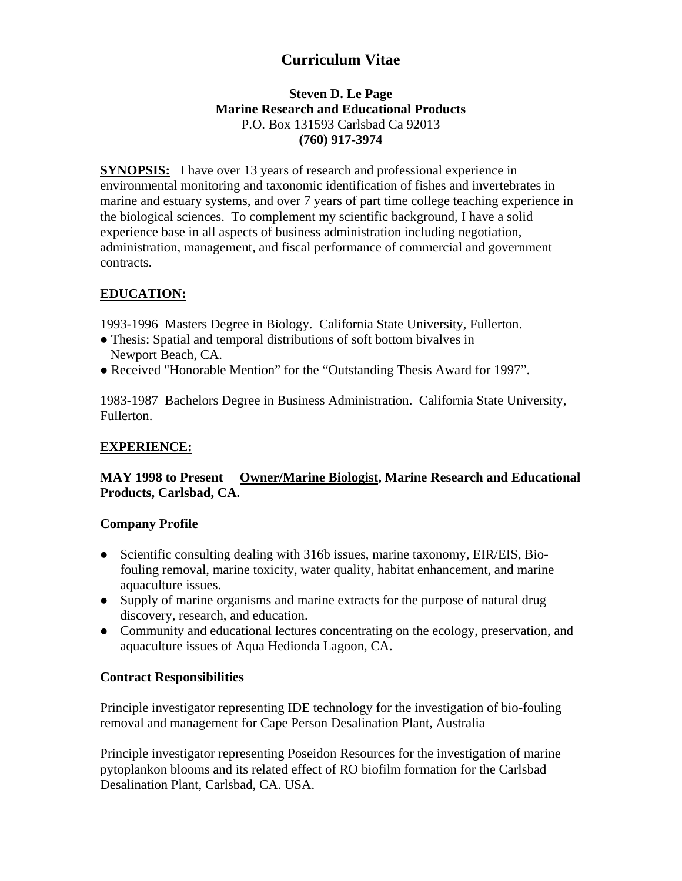# **Curriculum Vitae**

#### **Steven D. Le Page Marine Research and Educational Products**  P.O. Box 131593 Carlsbad Ca 92013 **(760) 917-3974**

**SYNOPSIS:** I have over 13 years of research and professional experience in environmental monitoring and taxonomic identification of fishes and invertebrates in marine and estuary systems, and over 7 years of part time college teaching experience in the biological sciences. To complement my scientific background, I have a solid experience base in all aspects of business administration including negotiation, administration, management, and fiscal performance of commercial and government contracts.

# **EDUCATION:**

1993-1996 Masters Degree in Biology. California State University, Fullerton.

- Thesis: Spatial and temporal distributions of soft bottom bivalves in Newport Beach, CA.
- Received "Honorable Mention" for the "Outstanding Thesis Award for 1997".

1983-1987 Bachelors Degree in Business Administration. California State University, Fullerton.

## **EXPERIENCE:**

## **MAY 1998 to Present Owner/Marine Biologist, Marine Research and Educational Products, Carlsbad, CA.**

## **Company Profile**

- Scientific consulting dealing with 316b issues, marine taxonomy, EIR/EIS, Biofouling removal, marine toxicity, water quality, habitat enhancement, and marine aquaculture issues.
- Supply of marine organisms and marine extracts for the purpose of natural drug discovery, research, and education.
- Community and educational lectures concentrating on the ecology, preservation, and aquaculture issues of Aqua Hedionda Lagoon, CA.

## **Contract Responsibilities**

Principle investigator representing IDE technology for the investigation of bio-fouling removal and management for Cape Person Desalination Plant, Australia

Principle investigator representing Poseidon Resources for the investigation of marine pytoplankon blooms and its related effect of RO biofilm formation for the Carlsbad Desalination Plant, Carlsbad, CA. USA.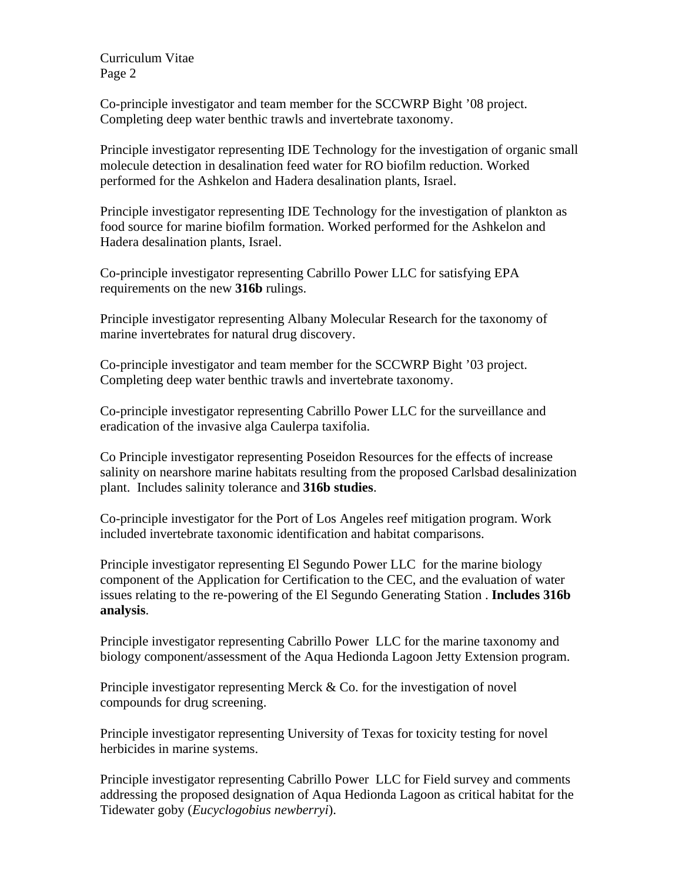Co-principle investigator and team member for the SCCWRP Bight '08 project. Completing deep water benthic trawls and invertebrate taxonomy.

Principle investigator representing IDE Technology for the investigation of organic small molecule detection in desalination feed water for RO biofilm reduction. Worked performed for the Ashkelon and Hadera desalination plants, Israel.

Principle investigator representing IDE Technology for the investigation of plankton as food source for marine biofilm formation. Worked performed for the Ashkelon and Hadera desalination plants, Israel.

Co-principle investigator representing Cabrillo Power LLC for satisfying EPA requirements on the new **316b** rulings.

Principle investigator representing Albany Molecular Research for the taxonomy of marine invertebrates for natural drug discovery.

Co-principle investigator and team member for the SCCWRP Bight '03 project. Completing deep water benthic trawls and invertebrate taxonomy.

Co-principle investigator representing Cabrillo Power LLC for the surveillance and eradication of the invasive alga Caulerpa taxifolia.

Co Principle investigator representing Poseidon Resources for the effects of increase salinity on nearshore marine habitats resulting from the proposed Carlsbad desalinization plant. Includes salinity tolerance and **316b studies**.

Co-principle investigator for the Port of Los Angeles reef mitigation program. Work included invertebrate taxonomic identification and habitat comparisons.

Principle investigator representing El Segundo Power LLC for the marine biology component of the Application for Certification to the CEC, and the evaluation of water issues relating to the re-powering of the El Segundo Generating Station . **Includes 316b analysis**.

Principle investigator representing Cabrillo Power LLC for the marine taxonomy and biology component/assessment of the Aqua Hedionda Lagoon Jetty Extension program.

Principle investigator representing Merck & Co. for the investigation of novel compounds for drug screening.

Principle investigator representing University of Texas for toxicity testing for novel herbicides in marine systems.

Principle investigator representing Cabrillo Power LLC for Field survey and comments addressing the proposed designation of Aqua Hedionda Lagoon as critical habitat for the Tidewater goby (*Eucyclogobius newberryi*).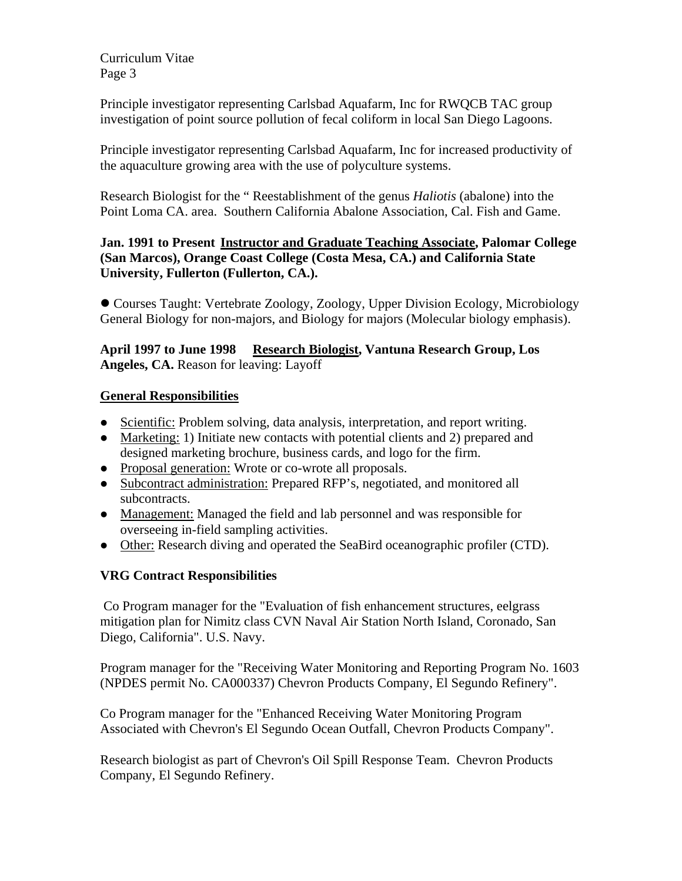Principle investigator representing Carlsbad Aquafarm, Inc for RWQCB TAC group investigation of point source pollution of fecal coliform in local San Diego Lagoons.

Principle investigator representing Carlsbad Aquafarm, Inc for increased productivity of the aquaculture growing area with the use of polyculture systems.

Research Biologist for the " Reestablishment of the genus *Haliotis* (abalone) into the Point Loma CA. area. Southern California Abalone Association, Cal. Fish and Game.

**Jan. 1991 to Present Instructor and Graduate Teaching Associate, Palomar College (San Marcos), Orange Coast College (Costa Mesa, CA.) and California State University, Fullerton (Fullerton, CA.).** 

• Courses Taught: Vertebrate Zoology, Zoology, Upper Division Ecology, Microbiology General Biology for non-majors, and Biology for majors (Molecular biology emphasis).

**April 1997 to June 1998 Research Biologist, Vantuna Research Group, Los Angeles, CA.** Reason for leaving: Layoff

## **General Responsibilities**

- Scientific: Problem solving, data analysis, interpretation, and report writing.
- Marketing: 1) Initiate new contacts with potential clients and 2) prepared and designed marketing brochure, business cards, and logo for the firm.
- Proposal generation: Wrote or co-wrote all proposals.
- Subcontract administration: Prepared RFP's, negotiated, and monitored all subcontracts.
- Management: Managed the field and lab personnel and was responsible for overseeing in-field sampling activities.
- Other: Research diving and operated the SeaBird oceanographic profiler (CTD).

# **VRG Contract Responsibilities**

 Co Program manager for the "Evaluation of fish enhancement structures, eelgrass mitigation plan for Nimitz class CVN Naval Air Station North Island, Coronado, San Diego, California". U.S. Navy.

Program manager for the "Receiving Water Monitoring and Reporting Program No. 1603 (NPDES permit No. CA000337) Chevron Products Company, El Segundo Refinery".

Co Program manager for the "Enhanced Receiving Water Monitoring Program Associated with Chevron's El Segundo Ocean Outfall, Chevron Products Company".

Research biologist as part of Chevron's Oil Spill Response Team. Chevron Products Company, El Segundo Refinery.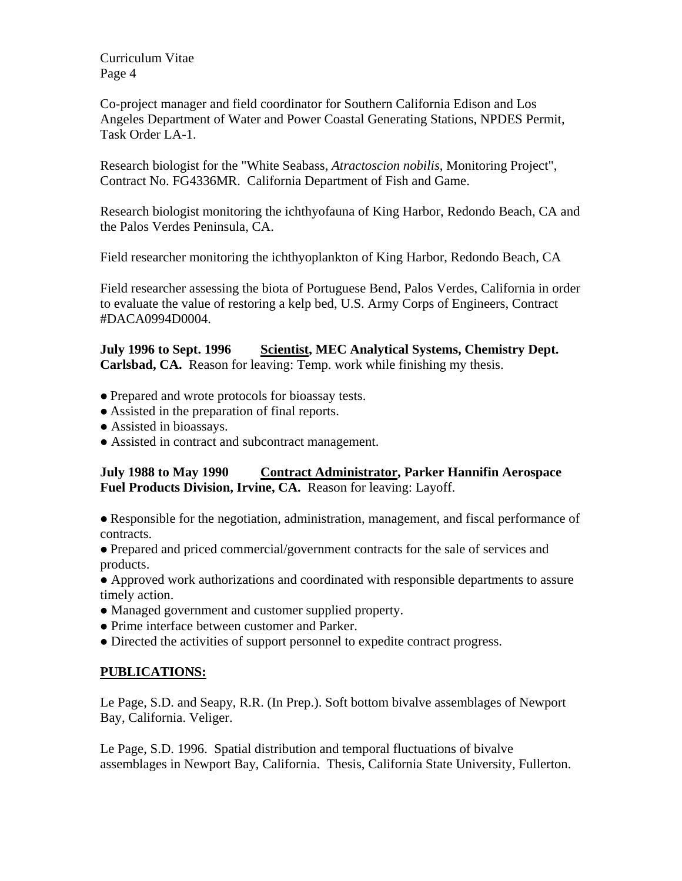Co-project manager and field coordinator for Southern California Edison and Los Angeles Department of Water and Power Coastal Generating Stations, NPDES Permit, Task Order LA-1.

Research biologist for the "White Seabass, *Atractoscion nobilis*, Monitoring Project", Contract No. FG4336MR. California Department of Fish and Game.

Research biologist monitoring the ichthyofauna of King Harbor, Redondo Beach, CA and the Palos Verdes Peninsula, CA.

Field researcher monitoring the ichthyoplankton of King Harbor, Redondo Beach, CA

Field researcher assessing the biota of Portuguese Bend, Palos Verdes, California in order to evaluate the value of restoring a kelp bed, U.S. Army Corps of Engineers, Contract #DACA0994D0004.

**July 1996 to Sept. 1996** Scientist, MEC Analytical Systems, Chemistry Dept. **Carlsbad, CA.** Reason for leaving: Temp. work while finishing my thesis.

- Prepared and wrote protocols for bioassay tests.
- Assisted in the preparation of final reports.
- Assisted in bioassays.
- Assisted in contract and subcontract management.

**July 1988 to May 1990 Contract Administrator, Parker Hannifin Aerospace Fuel Products Division, Irvine, CA.** Reason for leaving: Layoff.

• Responsible for the negotiation, administration, management, and fiscal performance of contracts.

• Prepared and priced commercial/government contracts for the sale of services and products.

• Approved work authorizations and coordinated with responsible departments to assure timely action.

- Managed government and customer supplied property.
- Prime interface between customer and Parker.
- Directed the activities of support personnel to expedite contract progress.

## **PUBLICATIONS:**

Le Page, S.D. and Seapy, R.R. (In Prep.). Soft bottom bivalve assemblages of Newport Bay, California. Veliger.

Le Page, S.D. 1996. Spatial distribution and temporal fluctuations of bivalve assemblages in Newport Bay, California. Thesis, California State University, Fullerton.